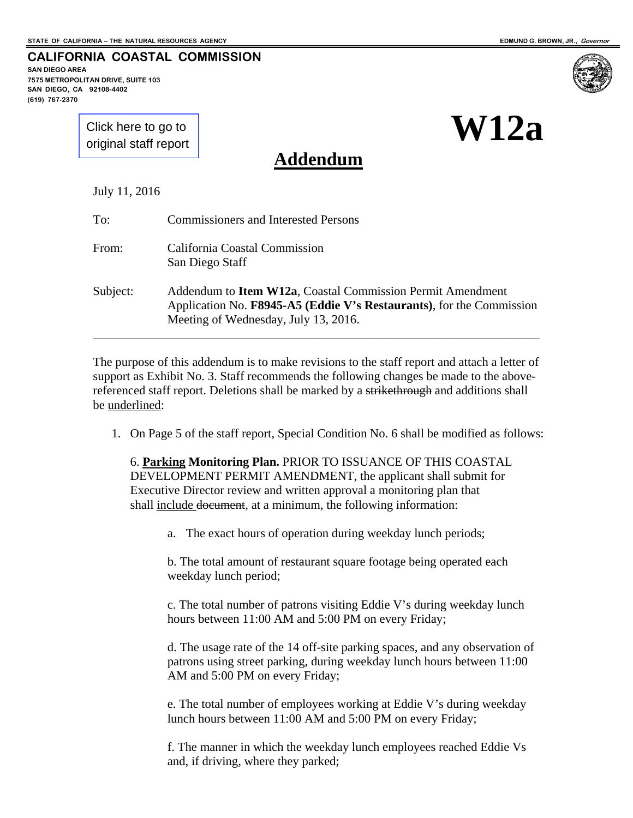**SAN DIEGO AREA** 

**7575 METROPOLITAN DRIVE, SUITE 103** 

**W12a**

**SAN DIEGO, CA 92108-4402 (619) 767-2370**

> [Click here to go to](#page-3-0)  original staff report

**CALIFORNIA COASTAL COMMISSION**

**Addendum**

July 11, 2016

| To:      | <b>Commissioners and Interested Persons</b>                                                                                                                                        |
|----------|------------------------------------------------------------------------------------------------------------------------------------------------------------------------------------|
| From:    | California Coastal Commission<br>San Diego Staff                                                                                                                                   |
| Subject: | Addendum to <b>Item W12a</b> , Coastal Commission Permit Amendment<br>Application No. F8945-A5 (Eddie V's Restaurants), for the Commission<br>Meeting of Wednesday, July 13, 2016. |

The purpose of this addendum is to make revisions to the staff report and attach a letter of support as Exhibit No. 3. Staff recommends the following changes be made to the abovereferenced staff report. Deletions shall be marked by a strikethrough and additions shall be underlined:

1. On Page 5 of the staff report, Special Condition No. 6 shall be modified as follows:

6. **Parking Monitoring Plan.** PRIOR TO ISSUANCE OF THIS COASTAL DEVELOPMENT PERMIT AMENDMENT, the applicant shall submit for Executive Director review and written approval a monitoring plan that shall include document, at a minimum, the following information:

a. The exact hours of operation during weekday lunch periods;

b. The total amount of restaurant square footage being operated each weekday lunch period;

c. The total number of patrons visiting Eddie V's during weekday lunch hours between 11:00 AM and 5:00 PM on every Friday;

d. The usage rate of the 14 off-site parking spaces, and any observation of patrons using street parking, during weekday lunch hours between 11:00 AM and 5:00 PM on every Friday;

e. The total number of employees working at Eddie V's during weekday lunch hours between 11:00 AM and 5:00 PM on every Friday;

f. The manner in which the weekday lunch employees reached Eddie Vs and, if driving, where they parked;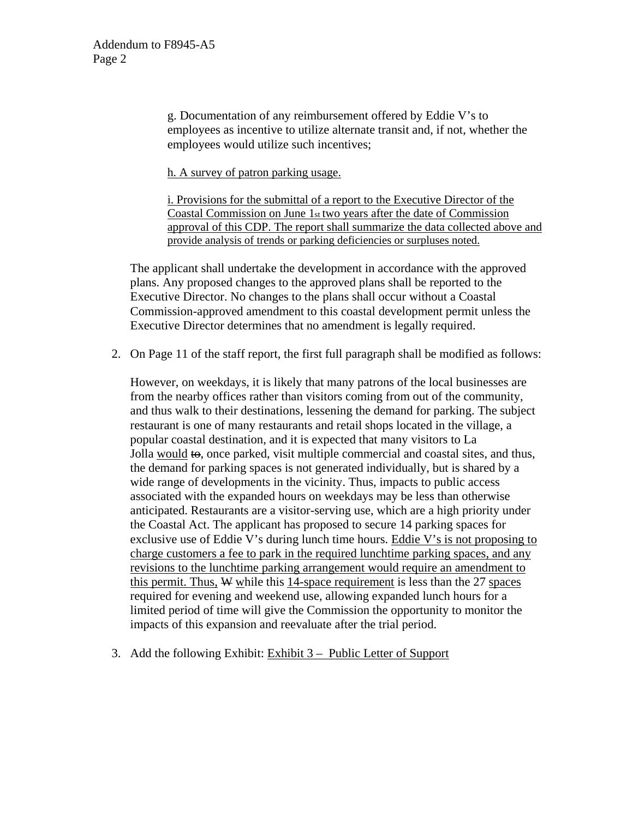g. Documentation of any reimbursement offered by Eddie V's to employees as incentive to utilize alternate transit and, if not, whether the employees would utilize such incentives;

h. A survey of patron parking usage.

i. Provisions for the submittal of a report to the Executive Director of the Coastal Commission on June 1st two years after the date of Commission approval of this CDP. The report shall summarize the data collected above and provide analysis of trends or parking deficiencies or surpluses noted.

The applicant shall undertake the development in accordance with the approved plans. Any proposed changes to the approved plans shall be reported to the Executive Director. No changes to the plans shall occur without a Coastal Commission-approved amendment to this coastal development permit unless the Executive Director determines that no amendment is legally required.

2. On Page 11 of the staff report, the first full paragraph shall be modified as follows:

However, on weekdays, it is likely that many patrons of the local businesses are from the nearby offices rather than visitors coming from out of the community, and thus walk to their destinations, lessening the demand for parking. The subject restaurant is one of many restaurants and retail shops located in the village, a popular coastal destination, and it is expected that many visitors to La Jolla would to, once parked, visit multiple commercial and coastal sites, and thus, the demand for parking spaces is not generated individually, but is shared by a wide range of developments in the vicinity. Thus, impacts to public access associated with the expanded hours on weekdays may be less than otherwise anticipated. Restaurants are a visitor-serving use, which are a high priority under the Coastal Act. The applicant has proposed to secure 14 parking spaces for exclusive use of Eddie V's during lunch time hours. Eddie V's is not proposing to charge customers a fee to park in the required lunchtime parking spaces, and any revisions to the lunchtime parking arrangement would require an amendment to this permit. Thus,  $W$  while this 14-space requirement is less than the 27 spaces required for evening and weekend use, allowing expanded lunch hours for a limited period of time will give the Commission the opportunity to monitor the impacts of this expansion and reevaluate after the trial period.

3. Add the following Exhibit: Exhibit 3 – Public Letter of Support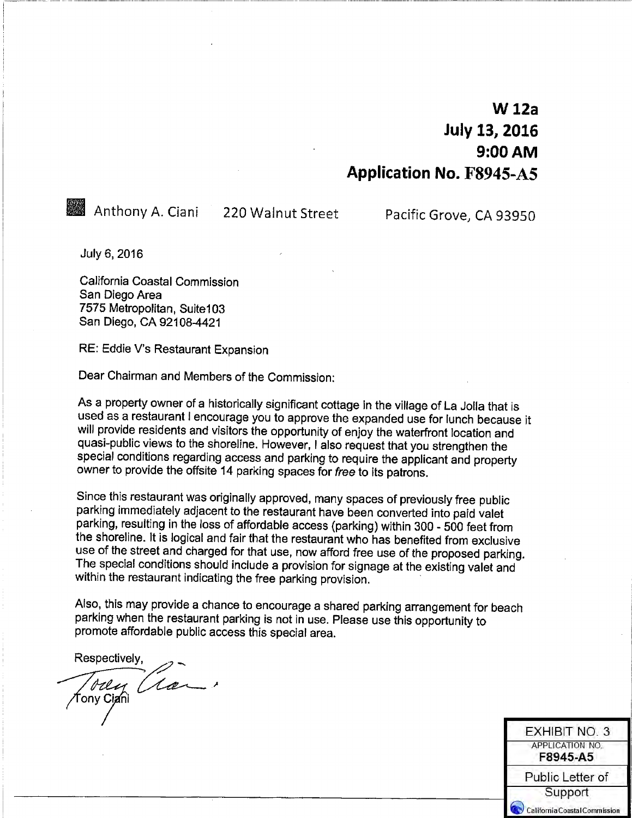# **W** 12a **July 13, 2016**  $9:00$  AM **Application No. F8945-A5**

Anthony A. Ciani 220 Walnut Street

Pacific Grove, CA 93950

**EXHIBIT NO. 3** APPLICATION NO. F8945-A5

Public Letter of Support California Coastal Commission

July 6, 2016

California Coastal Commission San Diego Area 7575 Metropolitan, Suite103 San Diego, CA 92108-4421

RE: Eddie V's Restaurant Expansion

Dear Chairman and Members of the Commission:

As a property owner of a historically significant cottage in the village of La Jolla that is used as a restaurant I encourage you to approve the expanded use for lunch because it will provide residents and visitors the opportunity of enjoy the waterfront location and quasi-public views to the shoreline. However, I also request that you strengthen the special conditions regarding access and parking to require the applicant and property owner to provide the offsite 14 parking spaces for free to its patrons.

Since this restaurant was originally approved, many spaces of previously free public parking immediately adjacent to the restaurant have been converted into paid valet parking, resulting in the loss of affordable access (parking) within 300 - 500 feet from the shoreline. It is logical and fair that the restaurant who has benefited from exclusive use of the street and charged for that use, now afford free use of the proposed parking. The special conditions should include a provision for signage at the existing valet and within the restaurant indicating the free parking provision.

Also, this may provide a chance to encourage a shared parking arrangement for beach parking when the restaurant parking is not in use. Please use this opportunity to promote affordable public access this special area.

Respectively. Tody Clair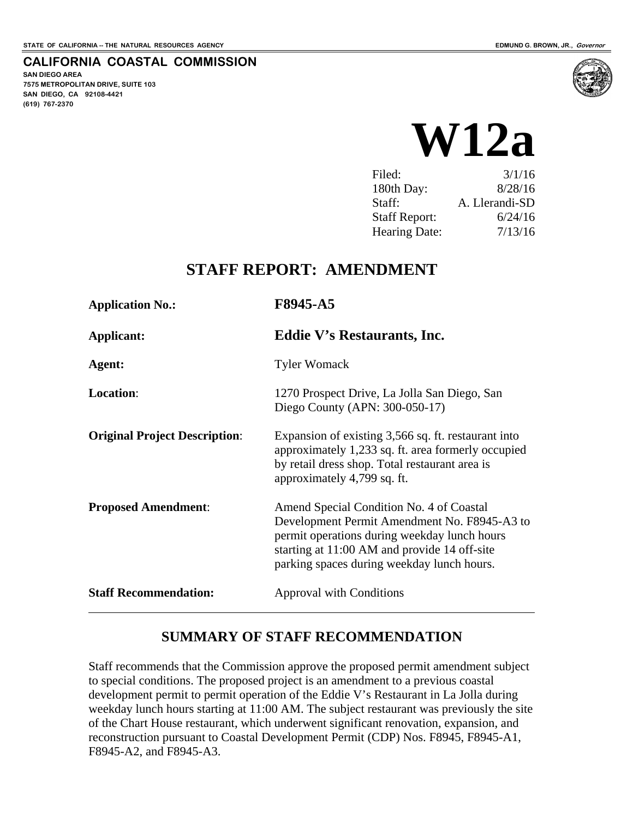<span id="page-3-0"></span>**CALIFORNIA COASTAL COMMISSION**

**SAN DIEGO AREA 7575 METROPOLITAN DRIVE, SUITE 103 SAN DIEGO, CA 92108-4421 (619) 767-2370**



| Filed:               | 3/1/16         |
|----------------------|----------------|
| 180th Day:           | 8/28/16        |
| Staff:               | A. Llerandi-SD |
| <b>Staff Report:</b> | 6/24/16        |
| <b>Hearing Date:</b> | 7/13/16        |

## **STAFF REPORT: AMENDMENT**

| <b>Application No.:</b>              | F8945-A5<br><b>Eddie V's Restaurants, Inc.</b>                                                                                                                                                                                         |  |
|--------------------------------------|----------------------------------------------------------------------------------------------------------------------------------------------------------------------------------------------------------------------------------------|--|
| Applicant:                           |                                                                                                                                                                                                                                        |  |
| Agent:                               | <b>Tyler Womack</b>                                                                                                                                                                                                                    |  |
| <b>Location:</b>                     | 1270 Prospect Drive, La Jolla San Diego, San<br>Diego County (APN: 300-050-17)                                                                                                                                                         |  |
| <b>Original Project Description:</b> | Expansion of existing 3,566 sq. ft. restaurant into<br>approximately 1,233 sq. ft. area formerly occupied<br>by retail dress shop. Total restaurant area is<br>approximately 4,799 sq. ft.                                             |  |
| <b>Proposed Amendment:</b>           | Amend Special Condition No. 4 of Coastal<br>Development Permit Amendment No. F8945-A3 to<br>permit operations during weekday lunch hours<br>starting at 11:00 AM and provide 14 off-site<br>parking spaces during weekday lunch hours. |  |
| <b>Staff Recommendation:</b>         | <b>Approval with Conditions</b>                                                                                                                                                                                                        |  |

## **SUMMARY OF STAFF RECOMMENDATION**

Staff recommends that the Commission approve the proposed permit amendment subject to special conditions. The proposed project is an amendment to a previous coastal development permit to permit operation of the Eddie V's Restaurant in La Jolla during weekday lunch hours starting at 11:00 AM. The subject restaurant was previously the site of the Chart House restaurant, which underwent significant renovation, expansion, and reconstruction pursuant to Coastal Development Permit (CDP) Nos. F8945, F8945-A1, F8945-A2, and F8945-A3.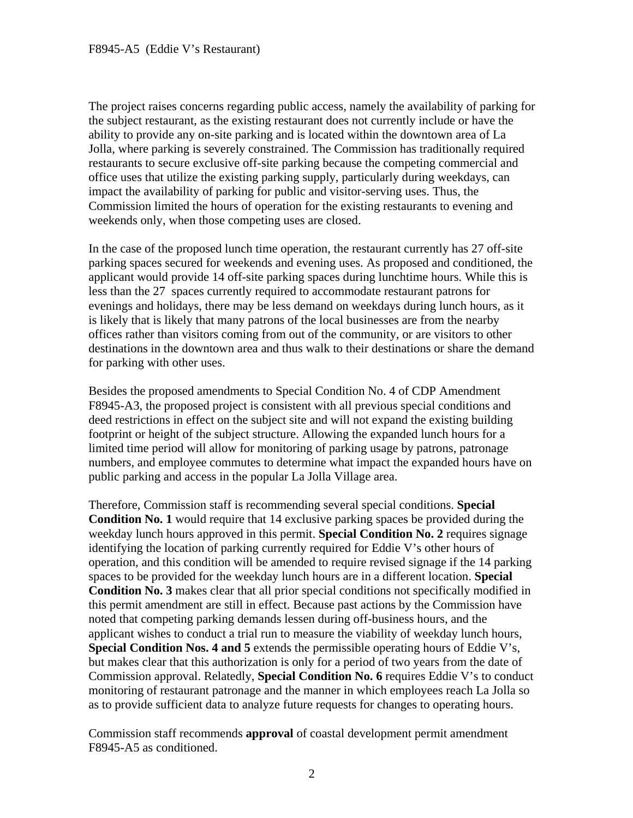The project raises concerns regarding public access, namely the availability of parking for the subject restaurant, as the existing restaurant does not currently include or have the ability to provide any on-site parking and is located within the downtown area of La Jolla, where parking is severely constrained. The Commission has traditionally required restaurants to secure exclusive off-site parking because the competing commercial and office uses that utilize the existing parking supply, particularly during weekdays, can impact the availability of parking for public and visitor-serving uses. Thus, the Commission limited the hours of operation for the existing restaurants to evening and weekends only, when those competing uses are closed.

In the case of the proposed lunch time operation, the restaurant currently has 27 off-site parking spaces secured for weekends and evening uses. As proposed and conditioned, the applicant would provide 14 off-site parking spaces during lunchtime hours. While this is less than the 27 spaces currently required to accommodate restaurant patrons for evenings and holidays, there may be less demand on weekdays during lunch hours, as it is likely that is likely that many patrons of the local businesses are from the nearby offices rather than visitors coming from out of the community, or are visitors to other destinations in the downtown area and thus walk to their destinations or share the demand for parking with other uses.

Besides the proposed amendments to Special Condition No. 4 of CDP Amendment F8945-A3, the proposed project is consistent with all previous special conditions and deed restrictions in effect on the subject site and will not expand the existing building footprint or height of the subject structure. Allowing the expanded lunch hours for a limited time period will allow for monitoring of parking usage by patrons, patronage numbers, and employee commutes to determine what impact the expanded hours have on public parking and access in the popular La Jolla Village area.

Therefore, Commission staff is recommending several special conditions. **Special Condition No. 1** would require that 14 exclusive parking spaces be provided during the weekday lunch hours approved in this permit. **Special Condition No. 2** requires signage identifying the location of parking currently required for Eddie V's other hours of operation, and this condition will be amended to require revised signage if the 14 parking spaces to be provided for the weekday lunch hours are in a different location. **Special Condition No. 3** makes clear that all prior special conditions not specifically modified in this permit amendment are still in effect. Because past actions by the Commission have noted that competing parking demands lessen during off-business hours, and the applicant wishes to conduct a trial run to measure the viability of weekday lunch hours, **Special Condition Nos. 4 and 5** extends the permissible operating hours of Eddie V's, but makes clear that this authorization is only for a period of two years from the date of Commission approval. Relatedly, **Special Condition No. 6** requires Eddie V's to conduct monitoring of restaurant patronage and the manner in which employees reach La Jolla so as to provide sufficient data to analyze future requests for changes to operating hours.

Commission staff recommends **approval** of coastal development permit amendment F8945-A5 as conditioned.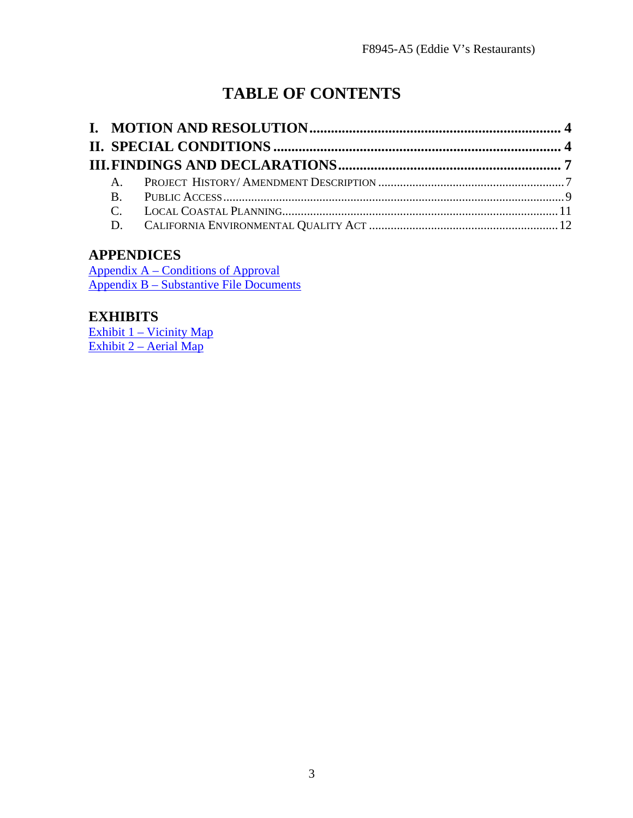# **TABLE OF CONTENTS**

## **APPENDICES**

[Appendix A – Conditions](#page-15-0) of Approval Appendix B – Substantive File Documents

## **EXHIBITS**

Exhibit 1 – Vicinity Map Exhibit 2 – Aerial Map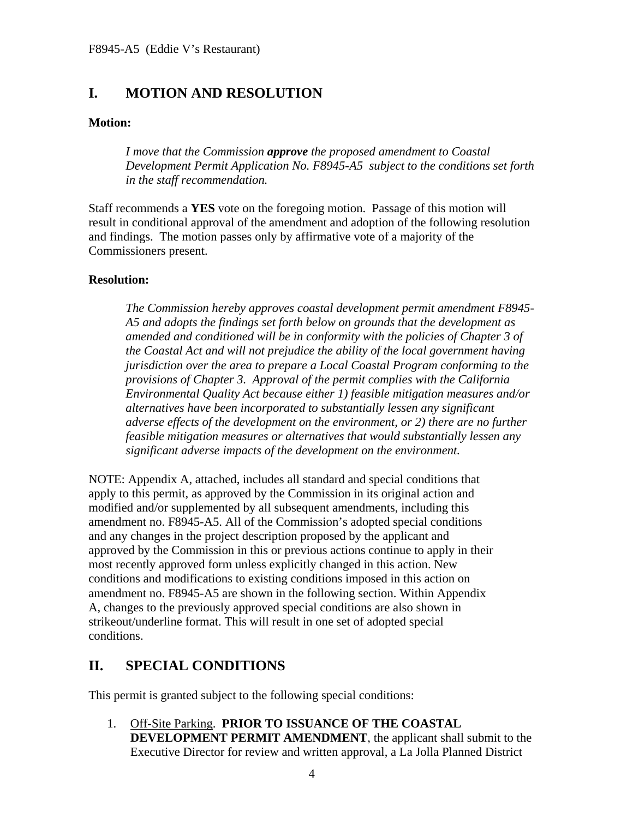## <span id="page-6-0"></span>**I. MOTION AND RESOLUTION**

## **Motion:**

*I move that the Commission approve the proposed amendment to Coastal Development Permit Application No. F8945-A5 subject to the conditions set forth in the staff recommendation.* 

Staff recommends a **YES** vote on the foregoing motion. Passage of this motion will result in conditional approval of the amendment and adoption of the following resolution and findings. The motion passes only by affirmative vote of a majority of the Commissioners present.

#### **Resolution:**

*The Commission hereby approves coastal development permit amendment F8945- A5 and adopts the findings set forth below on grounds that the development as amended and conditioned will be in conformity with the policies of Chapter 3 of the Coastal Act and will not prejudice the ability of the local government having jurisdiction over the area to prepare a Local Coastal Program conforming to the provisions of Chapter 3. Approval of the permit complies with the California Environmental Quality Act because either 1) feasible mitigation measures and/or alternatives have been incorporated to substantially lessen any significant adverse effects of the development on the environment, or 2) there are no further feasible mitigation measures or alternatives that would substantially lessen any significant adverse impacts of the development on the environment.*

NOTE: Appendix A, attached, includes all standard and special conditions that apply to this permit, as approved by the Commission in its original action and modified and/or supplemented by all subsequent amendments, including this amendment no. F8945-A5. All of the Commission's adopted special conditions and any changes in the project description proposed by the applicant and approved by the Commission in this or previous actions continue to apply in their most recently approved form unless explicitly changed in this action. New conditions and modifications to existing conditions imposed in this action on amendment no. F8945-A5 are shown in the following section. Within Appendix A, changes to the previously approved special conditions are also shown in strikeout/underline format. This will result in one set of adopted special conditions.

## <span id="page-6-1"></span>**II. SPECIAL CONDITIONS**

This permit is granted subject to the following special conditions:

1. Off-Site Parking. **PRIOR TO ISSUANCE OF THE COASTAL DEVELOPMENT PERMIT AMENDMENT**, the applicant shall submit to the Executive Director for review and written approval, a La Jolla Planned District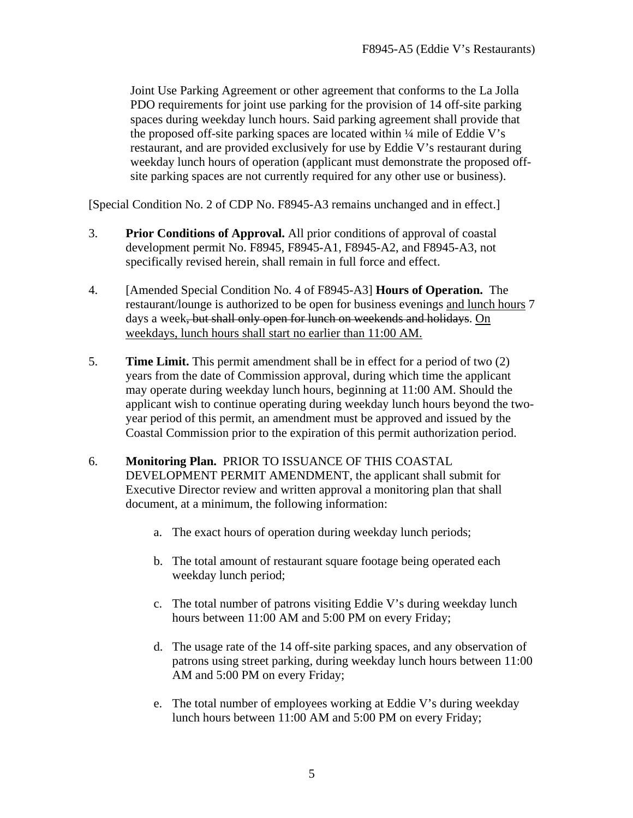Joint Use Parking Agreement or other agreement that conforms to the La Jolla PDO requirements for joint use parking for the provision of 14 off-site parking spaces during weekday lunch hours. Said parking agreement shall provide that the proposed off-site parking spaces are located within ¼ mile of Eddie V's restaurant, and are provided exclusively for use by Eddie V's restaurant during weekday lunch hours of operation (applicant must demonstrate the proposed offsite parking spaces are not currently required for any other use or business).

[Special Condition No. 2 of CDP No. F8945-A3 remains unchanged and in effect.]

- 3. **Prior Conditions of Approval.** All prior conditions of approval of coastal development permit No. F8945, F8945-A1, F8945-A2, and F8945-A3, not specifically revised herein, shall remain in full force and effect.
- 4. [Amended Special Condition No. 4 of F8945-A3] **Hours of Operation.** The restaurant/lounge is authorized to be open for business evenings and lunch hours 7 days a week, but shall only open for lunch on weekends and holidays. On weekdays, lunch hours shall start no earlier than 11:00 AM.
- 5. **Time Limit.** This permit amendment shall be in effect for a period of two (2) years from the date of Commission approval, during which time the applicant may operate during weekday lunch hours, beginning at 11:00 AM. Should the applicant wish to continue operating during weekday lunch hours beyond the twoyear period of this permit, an amendment must be approved and issued by the Coastal Commission prior to the expiration of this permit authorization period.
- 6. **Monitoring Plan.** PRIOR TO ISSUANCE OF THIS COASTAL DEVELOPMENT PERMIT AMENDMENT, the applicant shall submit for Executive Director review and written approval a monitoring plan that shall document, at a minimum, the following information:
	- a. The exact hours of operation during weekday lunch periods;
	- b. The total amount of restaurant square footage being operated each weekday lunch period;
	- c. The total number of patrons visiting Eddie V's during weekday lunch hours between 11:00 AM and 5:00 PM on every Friday;
	- d. The usage rate of the 14 off-site parking spaces, and any observation of patrons using street parking, during weekday lunch hours between 11:00 AM and 5:00 PM on every Friday;
	- e. The total number of employees working at Eddie V's during weekday lunch hours between 11:00 AM and 5:00 PM on every Friday;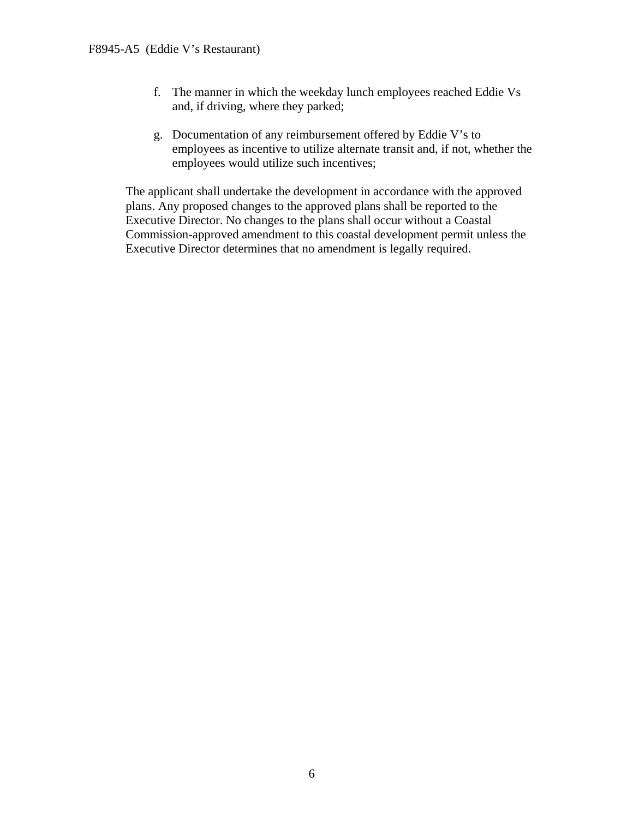- f. The manner in which the weekday lunch employees reached Eddie Vs and, if driving, where they parked;
- g. Documentation of any reimbursement offered by Eddie V's to employees as incentive to utilize alternate transit and, if not, whether the employees would utilize such incentives;

The applicant shall undertake the development in accordance with the approved plans. Any proposed changes to the approved plans shall be reported to the Executive Director. No changes to the plans shall occur without a Coastal Commission-approved amendment to this coastal development permit unless the Executive Director determines that no amendment is legally required.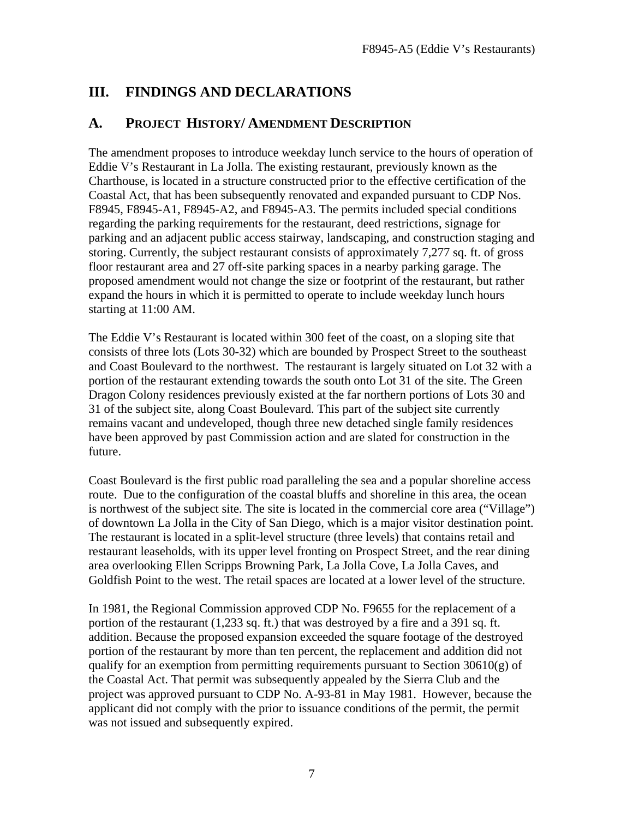## <span id="page-9-0"></span>**III. FINDINGS AND DECLARATIONS**

## <span id="page-9-1"></span>**A. PROJECT HISTORY/ AMENDMENT DESCRIPTION**

The amendment proposes to introduce weekday lunch service to the hours of operation of Eddie V's Restaurant in La Jolla. The existing restaurant, previously known as the Charthouse, is located in a structure constructed prior to the effective certification of the Coastal Act, that has been subsequently renovated and expanded pursuant to CDP Nos. F8945, F8945-A1, F8945-A2, and F8945-A3. The permits included special conditions regarding the parking requirements for the restaurant, deed restrictions, signage for parking and an adjacent public access stairway, landscaping, and construction staging and storing. Currently, the subject restaurant consists of approximately 7,277 sq. ft. of gross floor restaurant area and 27 off-site parking spaces in a nearby parking garage. The proposed amendment would not change the size or footprint of the restaurant, but rather expand the hours in which it is permitted to operate to include weekday lunch hours starting at 11:00 AM.

The Eddie V's Restaurant is located within 300 feet of the coast, on a sloping site that consists of three lots (Lots 30-32) which are bounded by Prospect Street to the southeast and Coast Boulevard to the northwest. The restaurant is largely situated on Lot 32 with a portion of the restaurant extending towards the south onto Lot 31 of the site. The Green Dragon Colony residences previously existed at the far northern portions of Lots 30 and 31 of the subject site, along Coast Boulevard. This part of the subject site currently remains vacant and undeveloped, though three new detached single family residences have been approved by past Commission action and are slated for construction in the future.

Coast Boulevard is the first public road paralleling the sea and a popular shoreline access route. Due to the configuration of the coastal bluffs and shoreline in this area, the ocean is northwest of the subject site. The site is located in the commercial core area ("Village") of downtown La Jolla in the City of San Diego, which is a major visitor destination point. The restaurant is located in a split-level structure (three levels) that contains retail and restaurant leaseholds, with its upper level fronting on Prospect Street, and the rear dining area overlooking Ellen Scripps Browning Park, La Jolla Cove, La Jolla Caves, and Goldfish Point to the west. The retail spaces are located at a lower level of the structure.

In 1981, the Regional Commission approved CDP No. F9655 for the replacement of a portion of the restaurant (1,233 sq. ft.) that was destroyed by a fire and a 391 sq. ft. addition. Because the proposed expansion exceeded the square footage of the destroyed portion of the restaurant by more than ten percent, the replacement and addition did not qualify for an exemption from permitting requirements pursuant to Section  $30610(g)$  of the Coastal Act. That permit was subsequently appealed by the Sierra Club and the project was approved pursuant to CDP No. A-93-81 in May 1981. However, because the applicant did not comply with the prior to issuance conditions of the permit, the permit was not issued and subsequently expired.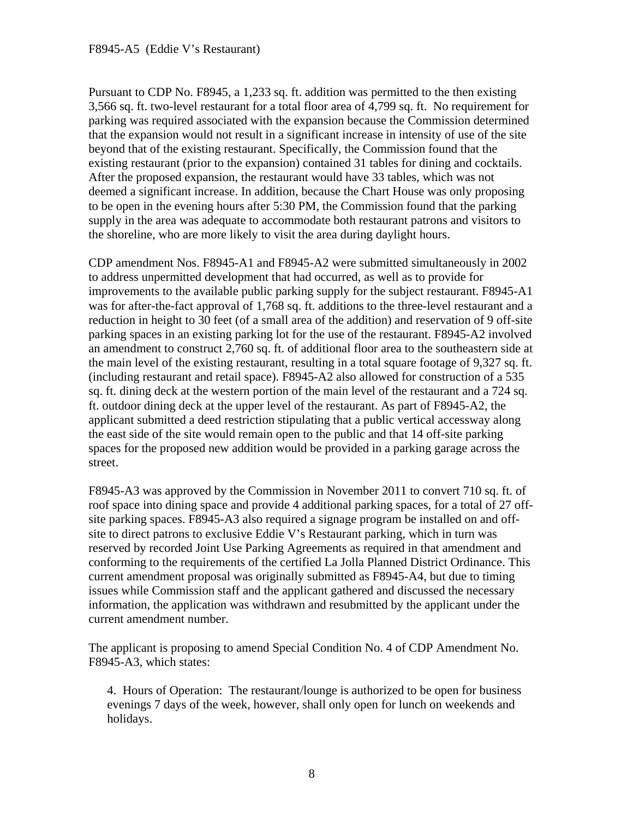#### F8945-A5 (Eddie V's Restaurant)

Pursuant to CDP No. F8945, a 1,233 sq. ft. addition was permitted to the then existing 3,566 sq. ft. two-level restaurant for a total floor area of 4,799 sq. ft. No requirement for parking was required associated with the expansion because the Commission determined that the expansion would not result in a significant increase in intensity of use of the site beyond that of the existing restaurant. Specifically, the Commission found that the existing restaurant (prior to the expansion) contained 31 tables for dining and cocktails. After the proposed expansion, the restaurant would have 33 tables, which was not deemed a significant increase. In addition, because the Chart House was only proposing to be open in the evening hours after 5:30 PM, the Commission found that the parking supply in the area was adequate to accommodate both restaurant patrons and visitors to the shoreline, who are more likely to visit the area during daylight hours.

CDP amendment Nos. F8945-A1 and F8945-A2 were submitted simultaneously in 2002 to address unpermitted development that had occurred, as well as to provide for improvements to the available public parking supply for the subject restaurant. F8945-A1 was for after-the-fact approval of 1,768 sq. ft. additions to the three-level restaurant and a reduction in height to 30 feet (of a small area of the addition) and reservation of 9 off-site parking spaces in an existing parking lot for the use of the restaurant. F8945-A2 involved an amendment to construct 2,760 sq. ft. of additional floor area to the southeastern side at the main level of the existing restaurant, resulting in a total square footage of 9,327 sq. ft. (including restaurant and retail space). F8945-A2 also allowed for construction of a 535 sq. ft. dining deck at the western portion of the main level of the restaurant and a 724 sq. ft. outdoor dining deck at the upper level of the restaurant. As part of F8945-A2, the applicant submitted a deed restriction stipulating that a public vertical accessway along the east side of the site would remain open to the public and that 14 off-site parking spaces for the proposed new addition would be provided in a parking garage across the street.

F8945-A3 was approved by the Commission in November 2011 to convert 710 sq. ft. of roof space into dining space and provide 4 additional parking spaces, for a total of 27 offsite parking spaces. F8945-A3 also required a signage program be installed on and offsite to direct patrons to exclusive Eddie V's Restaurant parking, which in turn was reserved by recorded Joint Use Parking Agreements as required in that amendment and conforming to the requirements of the certified La Jolla Planned District Ordinance. This current amendment proposal was originally submitted as F8945-A4, but due to timing issues while Commission staff and the applicant gathered and discussed the necessary information, the application was withdrawn and resubmitted by the applicant under the current amendment number.

The applicant is proposing to amend Special Condition No. 4 of CDP Amendment No. F8945-A3, which states:

4. Hours of Operation: The restaurant/lounge is authorized to be open for business evenings 7 days of the week, however, shall only open for lunch on weekends and holidays.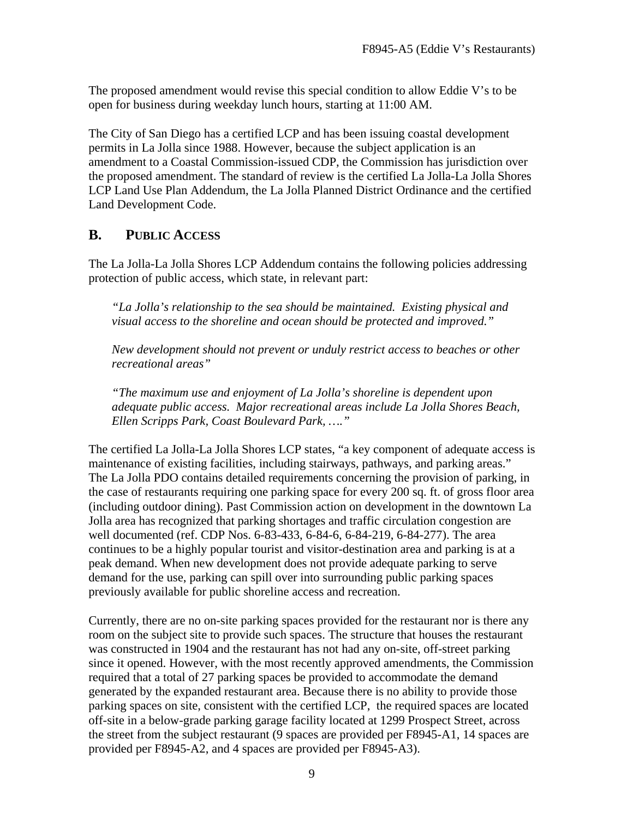The proposed amendment would revise this special condition to allow Eddie V's to be open for business during weekday lunch hours, starting at 11:00 AM.

The City of San Diego has a certified LCP and has been issuing coastal development permits in La Jolla since 1988. However, because the subject application is an amendment to a Coastal Commission-issued CDP, the Commission has jurisdiction over the proposed amendment. The standard of review is the certified La Jolla-La Jolla Shores LCP Land Use Plan Addendum, the La Jolla Planned District Ordinance and the certified Land Development Code.

## <span id="page-11-0"></span>**B. PUBLIC ACCESS**

The La Jolla-La Jolla Shores LCP Addendum contains the following policies addressing protection of public access, which state, in relevant part:

*"La Jolla's relationship to the sea should be maintained. Existing physical and visual access to the shoreline and ocean should be protected and improved."* 

*New development should not prevent or unduly restrict access to beaches or other recreational areas"*

 *"The maximum use and enjoyment of La Jolla's shoreline is dependent upon adequate public access. Major recreational areas include La Jolla Shores Beach, Ellen Scripps Park, Coast Boulevard Park, …."* 

The certified La Jolla-La Jolla Shores LCP states, "a key component of adequate access is maintenance of existing facilities, including stairways, pathways, and parking areas." The La Jolla PDO contains detailed requirements concerning the provision of parking, in the case of restaurants requiring one parking space for every 200 sq. ft. of gross floor area (including outdoor dining). Past Commission action on development in the downtown La Jolla area has recognized that parking shortages and traffic circulation congestion are well documented (ref. CDP Nos. 6-83-433, 6-84-6, 6-84-219, 6-84-277). The area continues to be a highly popular tourist and visitor-destination area and parking is at a peak demand. When new development does not provide adequate parking to serve demand for the use, parking can spill over into surrounding public parking spaces previously available for public shoreline access and recreation.

Currently, there are no on-site parking spaces provided for the restaurant nor is there any room on the subject site to provide such spaces. The structure that houses the restaurant was constructed in 1904 and the restaurant has not had any on-site, off-street parking since it opened. However, with the most recently approved amendments, the Commission required that a total of 27 parking spaces be provided to accommodate the demand generated by the expanded restaurant area. Because there is no ability to provide those parking spaces on site, consistent with the certified LCP, the required spaces are located off-site in a below-grade parking garage facility located at 1299 Prospect Street, across the street from the subject restaurant (9 spaces are provided per F8945-A1, 14 spaces are provided per F8945-A2, and 4 spaces are provided per F8945-A3).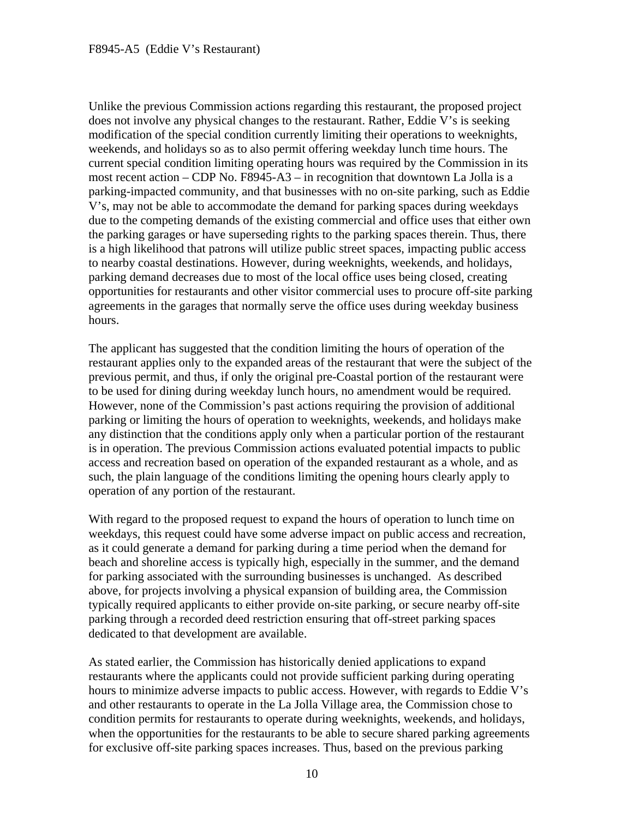Unlike the previous Commission actions regarding this restaurant, the proposed project does not involve any physical changes to the restaurant. Rather, Eddie V's is seeking modification of the special condition currently limiting their operations to weeknights, weekends, and holidays so as to also permit offering weekday lunch time hours. The current special condition limiting operating hours was required by the Commission in its most recent action – CDP No. F8945-A3 – in recognition that downtown La Jolla is a parking-impacted community, and that businesses with no on-site parking, such as Eddie V's, may not be able to accommodate the demand for parking spaces during weekdays due to the competing demands of the existing commercial and office uses that either own the parking garages or have superseding rights to the parking spaces therein. Thus, there is a high likelihood that patrons will utilize public street spaces, impacting public access to nearby coastal destinations. However, during weeknights, weekends, and holidays, parking demand decreases due to most of the local office uses being closed, creating opportunities for restaurants and other visitor commercial uses to procure off-site parking agreements in the garages that normally serve the office uses during weekday business hours.

The applicant has suggested that the condition limiting the hours of operation of the restaurant applies only to the expanded areas of the restaurant that were the subject of the previous permit, and thus, if only the original pre-Coastal portion of the restaurant were to be used for dining during weekday lunch hours, no amendment would be required. However, none of the Commission's past actions requiring the provision of additional parking or limiting the hours of operation to weeknights, weekends, and holidays make any distinction that the conditions apply only when a particular portion of the restaurant is in operation. The previous Commission actions evaluated potential impacts to public access and recreation based on operation of the expanded restaurant as a whole, and as such, the plain language of the conditions limiting the opening hours clearly apply to operation of any portion of the restaurant.

With regard to the proposed request to expand the hours of operation to lunch time on weekdays, this request could have some adverse impact on public access and recreation, as it could generate a demand for parking during a time period when the demand for beach and shoreline access is typically high, especially in the summer, and the demand for parking associated with the surrounding businesses is unchanged. As described above, for projects involving a physical expansion of building area, the Commission typically required applicants to either provide on-site parking, or secure nearby off-site parking through a recorded deed restriction ensuring that off-street parking spaces dedicated to that development are available.

As stated earlier, the Commission has historically denied applications to expand restaurants where the applicants could not provide sufficient parking during operating hours to minimize adverse impacts to public access. However, with regards to Eddie V's and other restaurants to operate in the La Jolla Village area, the Commission chose to condition permits for restaurants to operate during weeknights, weekends, and holidays, when the opportunities for the restaurants to be able to secure shared parking agreements for exclusive off-site parking spaces increases. Thus, based on the previous parking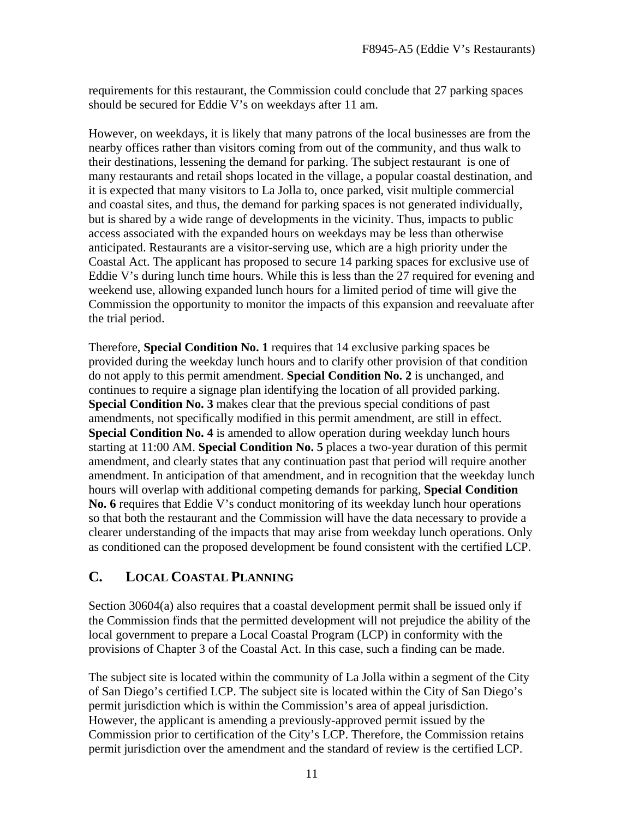requirements for this restaurant, the Commission could conclude that 27 parking spaces should be secured for Eddie V's on weekdays after 11 am.

However, on weekdays, it is likely that many patrons of the local businesses are from the nearby offices rather than visitors coming from out of the community, and thus walk to their destinations, lessening the demand for parking. The subject restaurant is one of many restaurants and retail shops located in the village, a popular coastal destination, and it is expected that many visitors to La Jolla to, once parked, visit multiple commercial and coastal sites, and thus, the demand for parking spaces is not generated individually, but is shared by a wide range of developments in the vicinity. Thus, impacts to public access associated with the expanded hours on weekdays may be less than otherwise anticipated. Restaurants are a visitor-serving use, which are a high priority under the Coastal Act. The applicant has proposed to secure 14 parking spaces for exclusive use of Eddie V's during lunch time hours. While this is less than the 27 required for evening and weekend use, allowing expanded lunch hours for a limited period of time will give the Commission the opportunity to monitor the impacts of this expansion and reevaluate after the trial period.

Therefore, **Special Condition No. 1** requires that 14 exclusive parking spaces be provided during the weekday lunch hours and to clarify other provision of that condition do not apply to this permit amendment. **Special Condition No. 2** is unchanged, and continues to require a signage plan identifying the location of all provided parking. **Special Condition No. 3** makes clear that the previous special conditions of past amendments, not specifically modified in this permit amendment, are still in effect. **Special Condition No. 4** is amended to allow operation during weekday lunch hours starting at 11:00 AM. **Special Condition No. 5** places a two-year duration of this permit amendment, and clearly states that any continuation past that period will require another amendment. In anticipation of that amendment, and in recognition that the weekday lunch hours will overlap with additional competing demands for parking, **Special Condition No. 6** requires that Eddie V's conduct monitoring of its weekday lunch hour operations so that both the restaurant and the Commission will have the data necessary to provide a clearer understanding of the impacts that may arise from weekday lunch operations. Only as conditioned can the proposed development be found consistent with the certified LCP.

## <span id="page-13-0"></span>**C. LOCAL COASTAL PLANNING**

Section 30604(a) also requires that a coastal development permit shall be issued only if the Commission finds that the permitted development will not prejudice the ability of the local government to prepare a Local Coastal Program (LCP) in conformity with the provisions of Chapter 3 of the Coastal Act. In this case, such a finding can be made.

The subject site is located within the community of La Jolla within a segment of the City of San Diego's certified LCP. The subject site is located within the City of San Diego's permit jurisdiction which is within the Commission's area of appeal jurisdiction. However, the applicant is amending a previously-approved permit issued by the Commission prior to certification of the City's LCP. Therefore, the Commission retains permit jurisdiction over the amendment and the standard of review is the certified LCP.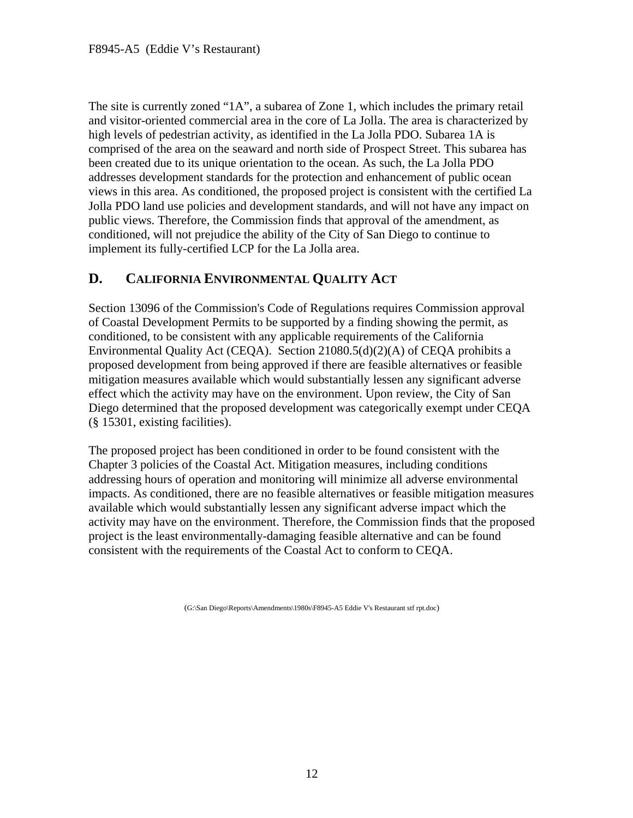The site is currently zoned "1A", a subarea of Zone 1, which includes the primary retail and visitor-oriented commercial area in the core of La Jolla. The area is characterized by high levels of pedestrian activity, as identified in the La Jolla PDO. Subarea 1A is comprised of the area on the seaward and north side of Prospect Street. This subarea has been created due to its unique orientation to the ocean. As such, the La Jolla PDO addresses development standards for the protection and enhancement of public ocean views in this area. As conditioned, the proposed project is consistent with the certified La Jolla PDO land use policies and development standards, and will not have any impact on public views. Therefore, the Commission finds that approval of the amendment, as conditioned, will not prejudice the ability of the City of San Diego to continue to implement its fully-certified LCP for the La Jolla area.

## <span id="page-14-0"></span>**D. CALIFORNIA ENVIRONMENTAL QUALITY ACT**

Section 13096 of the Commission's Code of Regulations requires Commission approval of Coastal Development Permits to be supported by a finding showing the permit, as conditioned, to be consistent with any applicable requirements of the California Environmental Quality Act (CEQA). Section 21080.5(d)(2)(A) of CEQA prohibits a proposed development from being approved if there are feasible alternatives or feasible mitigation measures available which would substantially lessen any significant adverse effect which the activity may have on the environment. Upon review, the City of San Diego determined that the proposed development was categorically exempt under CEQA (§ 15301, existing facilities).

The proposed project has been conditioned in order to be found consistent with the Chapter 3 policies of the Coastal Act. Mitigation measures, including conditions addressing hours of operation and monitoring will minimize all adverse environmental impacts. As conditioned, there are no feasible alternatives or feasible mitigation measures available which would substantially lessen any significant adverse impact which the activity may have on the environment. Therefore, the Commission finds that the proposed project is the least environmentally-damaging feasible alternative and can be found consistent with the requirements of the Coastal Act to conform to CEQA.

(G:\San Diego\Reports\Amendments\1980s\F8945-A5 Eddie V's Restaurant stf rpt.doc)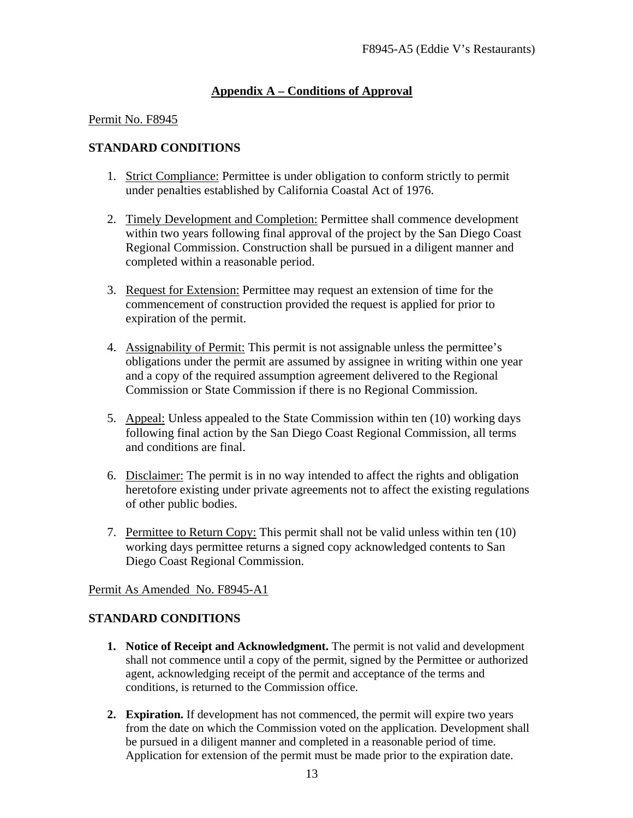## <span id="page-15-0"></span>**Appendix A – Conditions of Approval**

#### Permit No. F8945

#### **STANDARD CONDITIONS**

- 1. Strict Compliance: Permittee is under obligation to conform strictly to permit under penalties established by California Coastal Act of 1976.
- 2. Timely Development and Completion: Permittee shall commence development within two years following final approval of the project by the San Diego Coast Regional Commission. Construction shall be pursued in a diligent manner and completed within a reasonable period.
- 3. Request for Extension: Permittee may request an extension of time for the commencement of construction provided the request is applied for prior to expiration of the permit.
- 4. Assignability of Permit: This permit is not assignable unless the permittee's obligations under the permit are assumed by assignee in writing within one year and a copy of the required assumption agreement delivered to the Regional Commission or State Commission if there is no Regional Commission.
- 5. Appeal: Unless appealed to the State Commission within ten (10) working days following final action by the San Diego Coast Regional Commission, all terms and conditions are final.
- 6. Disclaimer: The permit is in no way intended to affect the rights and obligation heretofore existing under private agreements not to affect the existing regulations of other public bodies.
- 7. Permittee to Return Copy: This permit shall not be valid unless within ten (10) working days permittee returns a signed copy acknowledged contents to San Diego Coast Regional Commission.

#### Permit As Amended No. F8945-A1

#### **STANDARD CONDITIONS**

- **1. Notice of Receipt and Acknowledgment.** The permit is not valid and development shall not commence until a copy of the permit, signed by the Permittee or authorized agent, acknowledging receipt of the permit and acceptance of the terms and conditions, is returned to the Commission office.
- **2. Expiration.** If development has not commenced, the permit will expire two years from the date on which the Commission voted on the application. Development shall be pursued in a diligent manner and completed in a reasonable period of time. Application for extension of the permit must be made prior to the expiration date.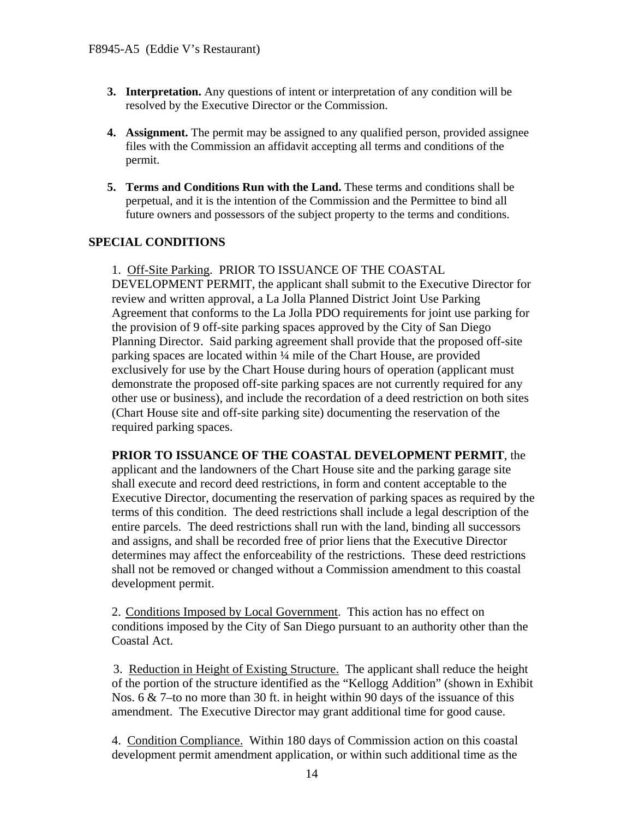- **3. Interpretation.** Any questions of intent or interpretation of any condition will be resolved by the Executive Director or the Commission.
- **4. Assignment.** The permit may be assigned to any qualified person, provided assignee files with the Commission an affidavit accepting all terms and conditions of the permit.
- **5. Terms and Conditions Run with the Land.** These terms and conditions shall be perpetual, and it is the intention of the Commission and the Permittee to bind all future owners and possessors of the subject property to the terms and conditions.

## **SPECIAL CONDITIONS**

1. Off-Site Parking. PRIOR TO ISSUANCE OF THE COASTAL DEVELOPMENT PERMIT, the applicant shall submit to the Executive Director for review and written approval, a La Jolla Planned District Joint Use Parking Agreement that conforms to the La Jolla PDO requirements for joint use parking for the provision of 9 off-site parking spaces approved by the City of San Diego Planning Director. Said parking agreement shall provide that the proposed off-site parking spaces are located within ¼ mile of the Chart House, are provided exclusively for use by the Chart House during hours of operation (applicant must demonstrate the proposed off-site parking spaces are not currently required for any other use or business), and include the recordation of a deed restriction on both sites (Chart House site and off-site parking site) documenting the reservation of the required parking spaces.

**PRIOR TO ISSUANCE OF THE COASTAL DEVELOPMENT PERMIT**, the applicant and the landowners of the Chart House site and the parking garage site shall execute and record deed restrictions, in form and content acceptable to the Executive Director, documenting the reservation of parking spaces as required by the terms of this condition. The deed restrictions shall include a legal description of the entire parcels. The deed restrictions shall run with the land, binding all successors and assigns, and shall be recorded free of prior liens that the Executive Director determines may affect the enforceability of the restrictions. These deed restrictions shall not be removed or changed without a Commission amendment to this coastal development permit.

2. Conditions Imposed by Local Government. This action has no effect on conditions imposed by the City of San Diego pursuant to an authority other than the Coastal Act.

3. Reduction in Height of Existing Structure. The applicant shall reduce the height of the portion of the structure identified as the "Kellogg Addition" (shown in Exhibit Nos. 6 & 7–to no more than 30 ft. in height within 90 days of the issuance of this amendment. The Executive Director may grant additional time for good cause.

4. Condition Compliance. Within 180 days of Commission action on this coastal development permit amendment application, or within such additional time as the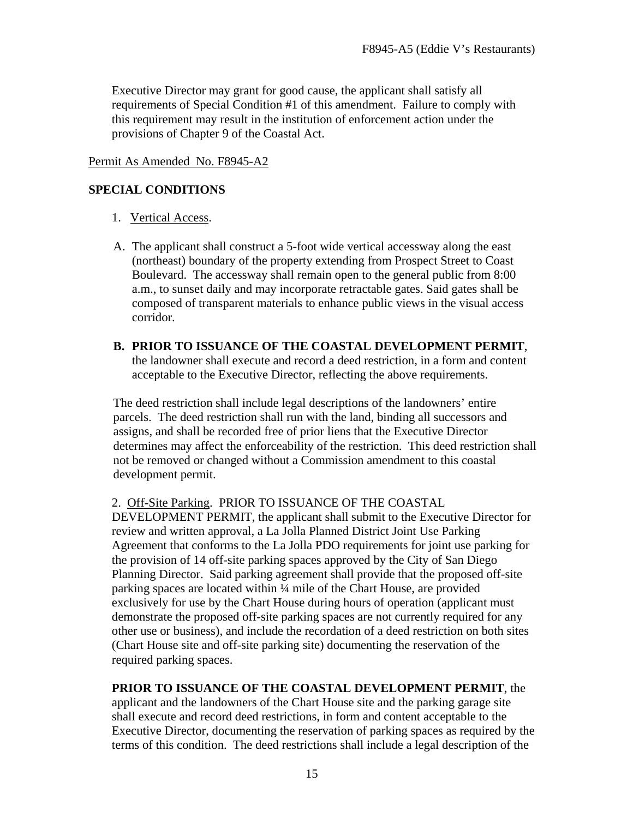Executive Director may grant for good cause, the applicant shall satisfy all requirements of Special Condition #1 of this amendment. Failure to comply with this requirement may result in the institution of enforcement action under the provisions of Chapter 9 of the Coastal Act.

#### Permit As Amended No. F8945-A2

#### **SPECIAL CONDITIONS**

- 1. Vertical Access.
- A. The applicant shall construct a 5-foot wide vertical accessway along the east (northeast) boundary of the property extending from Prospect Street to Coast Boulevard. The accessway shall remain open to the general public from 8:00 a.m., to sunset daily and may incorporate retractable gates. Said gates shall be composed of transparent materials to enhance public views in the visual access corridor.
- **B. PRIOR TO ISSUANCE OF THE COASTAL DEVELOPMENT PERMIT**, the landowner shall execute and record a deed restriction, in a form and content acceptable to the Executive Director, reflecting the above requirements.

The deed restriction shall include legal descriptions of the landowners' entire parcels. The deed restriction shall run with the land, binding all successors and assigns, and shall be recorded free of prior liens that the Executive Director determines may affect the enforceability of the restriction. This deed restriction shall not be removed or changed without a Commission amendment to this coastal development permit.

2. Off-Site Parking. PRIOR TO ISSUANCE OF THE COASTAL

DEVELOPMENT PERMIT, the applicant shall submit to the Executive Director for review and written approval, a La Jolla Planned District Joint Use Parking Agreement that conforms to the La Jolla PDO requirements for joint use parking for the provision of 14 off-site parking spaces approved by the City of San Diego Planning Director. Said parking agreement shall provide that the proposed off-site parking spaces are located within ¼ mile of the Chart House, are provided exclusively for use by the Chart House during hours of operation (applicant must demonstrate the proposed off-site parking spaces are not currently required for any other use or business), and include the recordation of a deed restriction on both sites (Chart House site and off-site parking site) documenting the reservation of the required parking spaces.

**PRIOR TO ISSUANCE OF THE COASTAL DEVELOPMENT PERMIT**, the applicant and the landowners of the Chart House site and the parking garage site shall execute and record deed restrictions, in form and content acceptable to the Executive Director, documenting the reservation of parking spaces as required by the terms of this condition. The deed restrictions shall include a legal description of the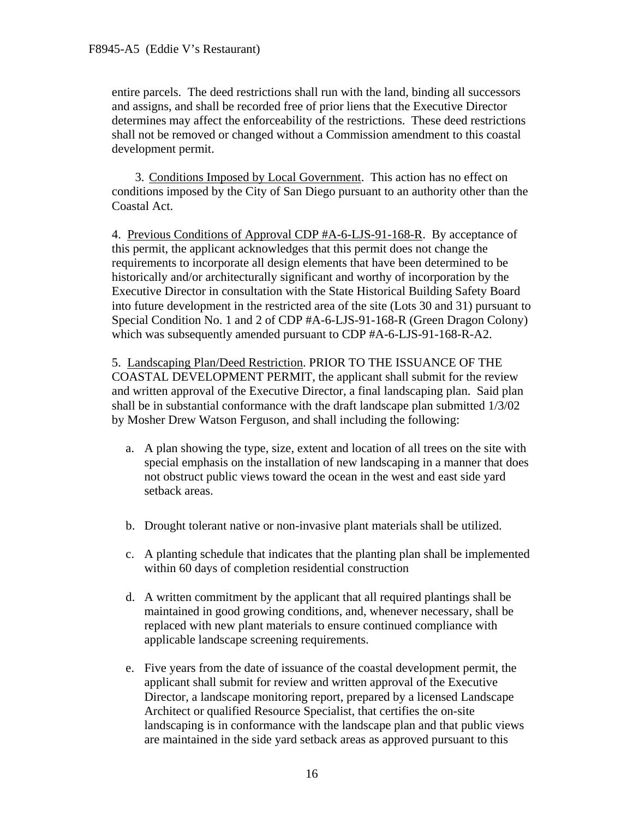entire parcels. The deed restrictions shall run with the land, binding all successors and assigns, and shall be recorded free of prior liens that the Executive Director determines may affect the enforceability of the restrictions. These deed restrictions shall not be removed or changed without a Commission amendment to this coastal development permit.

3. Conditions Imposed by Local Government. This action has no effect on conditions imposed by the City of San Diego pursuant to an authority other than the Coastal Act.

4. Previous Conditions of Approval CDP #A-6-LJS-91-168-R. By acceptance of this permit, the applicant acknowledges that this permit does not change the requirements to incorporate all design elements that have been determined to be historically and/or architecturally significant and worthy of incorporation by the Executive Director in consultation with the State Historical Building Safety Board into future development in the restricted area of the site (Lots 30 and 31) pursuant to Special Condition No. 1 and 2 of CDP #A-6-LJS-91-168-R (Green Dragon Colony) which was subsequently amended pursuant to CDP #A-6-LJS-91-168-R-A2.

5. Landscaping Plan/Deed Restriction. PRIOR TO THE ISSUANCE OF THE COASTAL DEVELOPMENT PERMIT, the applicant shall submit for the review and written approval of the Executive Director, a final landscaping plan. Said plan shall be in substantial conformance with the draft landscape plan submitted 1/3/02 by Mosher Drew Watson Ferguson, and shall including the following:

- a. A plan showing the type, size, extent and location of all trees on the site with special emphasis on the installation of new landscaping in a manner that does not obstruct public views toward the ocean in the west and east side yard setback areas.
- b. Drought tolerant native or non-invasive plant materials shall be utilized.
- c. A planting schedule that indicates that the planting plan shall be implemented within 60 days of completion residential construction
- d. A written commitment by the applicant that all required plantings shall be maintained in good growing conditions, and, whenever necessary, shall be replaced with new plant materials to ensure continued compliance with applicable landscape screening requirements.
- e. Five years from the date of issuance of the coastal development permit, the applicant shall submit for review and written approval of the Executive Director, a landscape monitoring report, prepared by a licensed Landscape Architect or qualified Resource Specialist, that certifies the on-site landscaping is in conformance with the landscape plan and that public views are maintained in the side yard setback areas as approved pursuant to this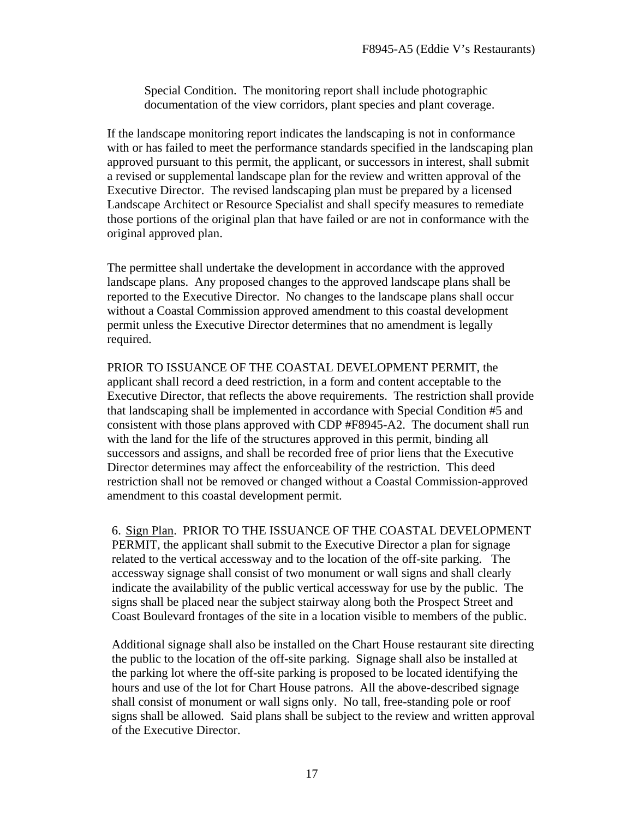Special Condition. The monitoring report shall include photographic documentation of the view corridors, plant species and plant coverage.

If the landscape monitoring report indicates the landscaping is not in conformance with or has failed to meet the performance standards specified in the landscaping plan approved pursuant to this permit, the applicant, or successors in interest, shall submit a revised or supplemental landscape plan for the review and written approval of the Executive Director. The revised landscaping plan must be prepared by a licensed Landscape Architect or Resource Specialist and shall specify measures to remediate those portions of the original plan that have failed or are not in conformance with the original approved plan.

The permittee shall undertake the development in accordance with the approved landscape plans. Any proposed changes to the approved landscape plans shall be reported to the Executive Director. No changes to the landscape plans shall occur without a Coastal Commission approved amendment to this coastal development permit unless the Executive Director determines that no amendment is legally required.

PRIOR TO ISSUANCE OF THE COASTAL DEVELOPMENT PERMIT, the applicant shall record a deed restriction, in a form and content acceptable to the Executive Director, that reflects the above requirements. The restriction shall provide that landscaping shall be implemented in accordance with Special Condition #5 and consistent with those plans approved with CDP #F8945-A2. The document shall run with the land for the life of the structures approved in this permit, binding all successors and assigns, and shall be recorded free of prior liens that the Executive Director determines may affect the enforceability of the restriction. This deed restriction shall not be removed or changed without a Coastal Commission-approved amendment to this coastal development permit.

6. Sign Plan. PRIOR TO THE ISSUANCE OF THE COASTAL DEVELOPMENT PERMIT, the applicant shall submit to the Executive Director a plan for signage related to the vertical accessway and to the location of the off-site parking. The accessway signage shall consist of two monument or wall signs and shall clearly indicate the availability of the public vertical accessway for use by the public. The signs shall be placed near the subject stairway along both the Prospect Street and Coast Boulevard frontages of the site in a location visible to members of the public.

Additional signage shall also be installed on the Chart House restaurant site directing the public to the location of the off-site parking. Signage shall also be installed at the parking lot where the off-site parking is proposed to be located identifying the hours and use of the lot for Chart House patrons. All the above-described signage shall consist of monument or wall signs only. No tall, free-standing pole or roof signs shall be allowed. Said plans shall be subject to the review and written approval of the Executive Director.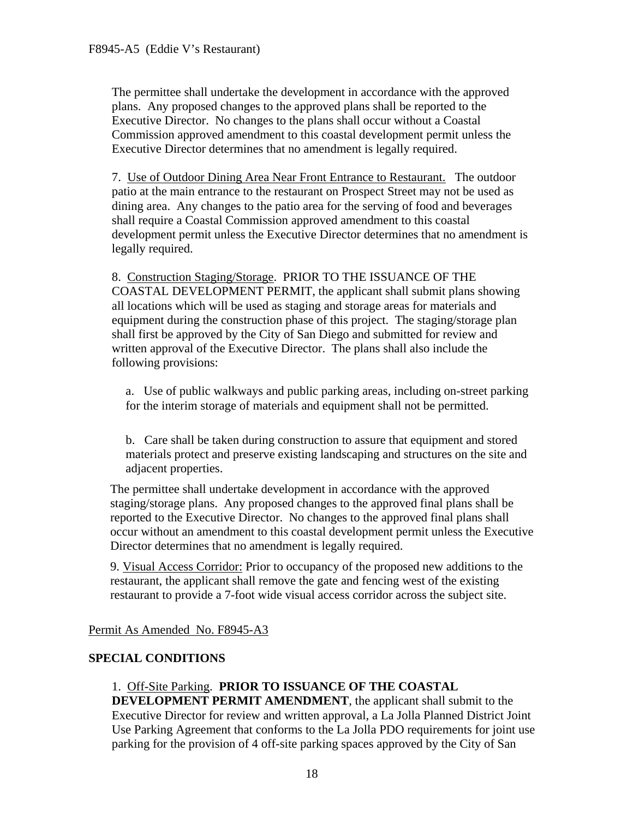The permittee shall undertake the development in accordance with the approved plans. Any proposed changes to the approved plans shall be reported to the Executive Director. No changes to the plans shall occur without a Coastal Commission approved amendment to this coastal development permit unless the Executive Director determines that no amendment is legally required.

7. Use of Outdoor Dining Area Near Front Entrance to Restaurant. The outdoor patio at the main entrance to the restaurant on Prospect Street may not be used as dining area. Any changes to the patio area for the serving of food and beverages shall require a Coastal Commission approved amendment to this coastal development permit unless the Executive Director determines that no amendment is legally required.

8. Construction Staging/Storage. PRIOR TO THE ISSUANCE OF THE COASTAL DEVELOPMENT PERMIT, the applicant shall submit plans showing all locations which will be used as staging and storage areas for materials and equipment during the construction phase of this project. The staging/storage plan shall first be approved by the City of San Diego and submitted for review and written approval of the Executive Director. The plans shall also include the following provisions:

a. Use of public walkways and public parking areas, including on-street parking for the interim storage of materials and equipment shall not be permitted.

b. Care shall be taken during construction to assure that equipment and stored materials protect and preserve existing landscaping and structures on the site and adjacent properties.

The permittee shall undertake development in accordance with the approved staging/storage plans. Any proposed changes to the approved final plans shall be reported to the Executive Director. No changes to the approved final plans shall occur without an amendment to this coastal development permit unless the Executive Director determines that no amendment is legally required.

9. Visual Access Corridor: Prior to occupancy of the proposed new additions to the restaurant, the applicant shall remove the gate and fencing west of the existing restaurant to provide a 7-foot wide visual access corridor across the subject site.

Permit As Amended No. F8945-A3

## **SPECIAL CONDITIONS**

1. Off-Site Parking. **PRIOR TO ISSUANCE OF THE COASTAL DEVELOPMENT PERMIT AMENDMENT**, the applicant shall submit to the Executive Director for review and written approval, a La Jolla Planned District Joint Use Parking Agreement that conforms to the La Jolla PDO requirements for joint use parking for the provision of 4 off-site parking spaces approved by the City of San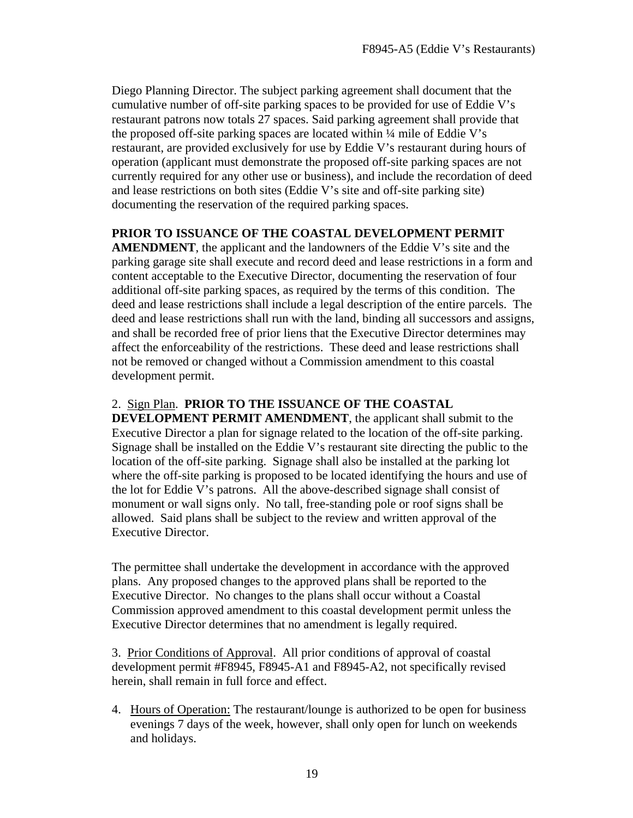Diego Planning Director. The subject parking agreement shall document that the cumulative number of off-site parking spaces to be provided for use of Eddie V's restaurant patrons now totals 27 spaces. Said parking agreement shall provide that the proposed off-site parking spaces are located within ¼ mile of Eddie V's restaurant, are provided exclusively for use by Eddie V's restaurant during hours of operation (applicant must demonstrate the proposed off-site parking spaces are not currently required for any other use or business), and include the recordation of deed and lease restrictions on both sites (Eddie V's site and off-site parking site) documenting the reservation of the required parking spaces.

## **PRIOR TO ISSUANCE OF THE COASTAL DEVELOPMENT PERMIT**

**AMENDMENT**, the applicant and the landowners of the Eddie V's site and the parking garage site shall execute and record deed and lease restrictions in a form and content acceptable to the Executive Director, documenting the reservation of four additional off-site parking spaces, as required by the terms of this condition. The deed and lease restrictions shall include a legal description of the entire parcels. The deed and lease restrictions shall run with the land, binding all successors and assigns, and shall be recorded free of prior liens that the Executive Director determines may affect the enforceability of the restrictions. These deed and lease restrictions shall not be removed or changed without a Commission amendment to this coastal development permit.

## 2. Sign Plan. **PRIOR TO THE ISSUANCE OF THE COASTAL**

**DEVELOPMENT PERMIT AMENDMENT**, the applicant shall submit to the Executive Director a plan for signage related to the location of the off-site parking. Signage shall be installed on the Eddie V's restaurant site directing the public to the location of the off-site parking. Signage shall also be installed at the parking lot where the off-site parking is proposed to be located identifying the hours and use of the lot for Eddie V's patrons. All the above-described signage shall consist of monument or wall signs only. No tall, free-standing pole or roof signs shall be allowed. Said plans shall be subject to the review and written approval of the Executive Director.

The permittee shall undertake the development in accordance with the approved plans. Any proposed changes to the approved plans shall be reported to the Executive Director. No changes to the plans shall occur without a Coastal Commission approved amendment to this coastal development permit unless the Executive Director determines that no amendment is legally required.

 3. Prior Conditions of Approval. All prior conditions of approval of coastal development permit #F8945, F8945-A1 and F8945-A2, not specifically revised herein, shall remain in full force and effect.

4. Hours of Operation: The restaurant/lounge is authorized to be open for business evenings 7 days of the week, however, shall only open for lunch on weekends and holidays.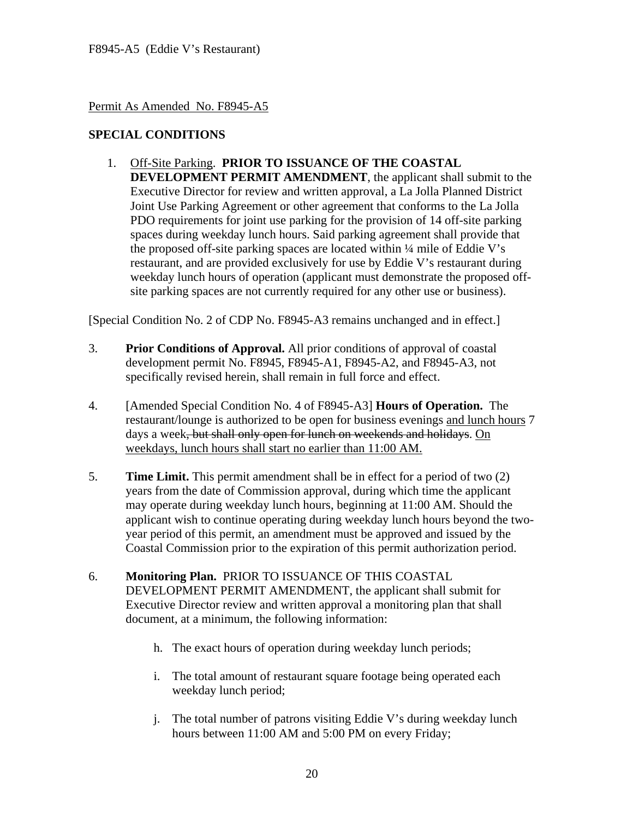#### Permit As Amended No. F8945-A5

### **SPECIAL CONDITIONS**

1. Off-Site Parking. **PRIOR TO ISSUANCE OF THE COASTAL DEVELOPMENT PERMIT AMENDMENT**, the applicant shall submit to the Executive Director for review and written approval, a La Jolla Planned District Joint Use Parking Agreement or other agreement that conforms to the La Jolla PDO requirements for joint use parking for the provision of 14 off-site parking spaces during weekday lunch hours. Said parking agreement shall provide that the proposed off-site parking spaces are located within ¼ mile of Eddie V's restaurant, and are provided exclusively for use by Eddie V's restaurant during weekday lunch hours of operation (applicant must demonstrate the proposed offsite parking spaces are not currently required for any other use or business).

[Special Condition No. 2 of CDP No. F8945-A3 remains unchanged and in effect.]

- 3. **Prior Conditions of Approval.** All prior conditions of approval of coastal development permit No. F8945, F8945-A1, F8945-A2, and F8945-A3, not specifically revised herein, shall remain in full force and effect.
- 4. [Amended Special Condition No. 4 of F8945-A3] **Hours of Operation.** The restaurant/lounge is authorized to be open for business evenings and lunch hours 7 days a week<del>, but shall only open for lunch on weekends and holidays</del>. On weekdays, lunch hours shall start no earlier than 11:00 AM.
- 5. **Time Limit.** This permit amendment shall be in effect for a period of two (2) years from the date of Commission approval, during which time the applicant may operate during weekday lunch hours, beginning at 11:00 AM. Should the applicant wish to continue operating during weekday lunch hours beyond the twoyear period of this permit, an amendment must be approved and issued by the Coastal Commission prior to the expiration of this permit authorization period.
- 6. **Monitoring Plan.** PRIOR TO ISSUANCE OF THIS COASTAL DEVELOPMENT PERMIT AMENDMENT, the applicant shall submit for Executive Director review and written approval a monitoring plan that shall document, at a minimum, the following information:
	- h. The exact hours of operation during weekday lunch periods;
	- i. The total amount of restaurant square footage being operated each weekday lunch period;
	- j. The total number of patrons visiting Eddie V's during weekday lunch hours between 11:00 AM and 5:00 PM on every Friday;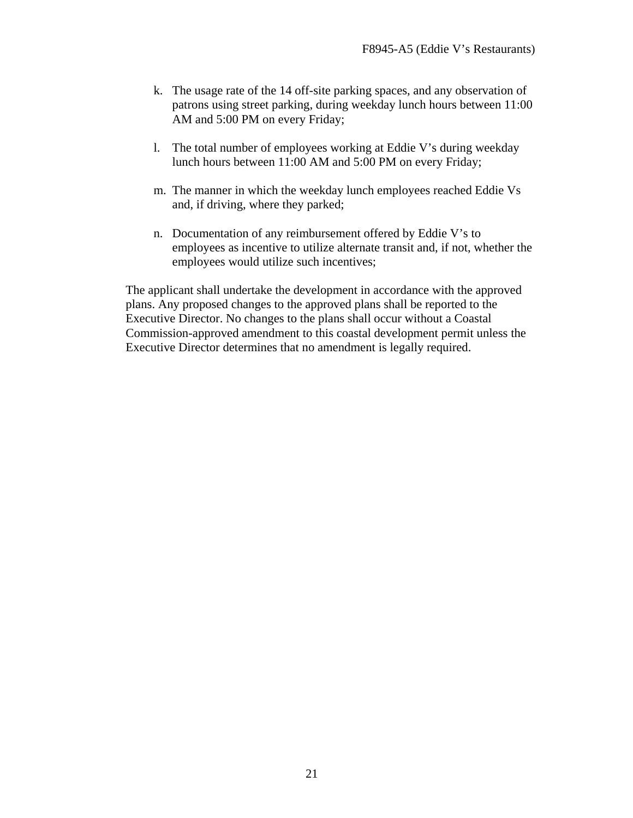- k. The usage rate of the 14 off-site parking spaces, and any observation of patrons using street parking, during weekday lunch hours between 11:00 AM and 5:00 PM on every Friday;
- l. The total number of employees working at Eddie V's during weekday lunch hours between 11:00 AM and 5:00 PM on every Friday;
- m. The manner in which the weekday lunch employees reached Eddie Vs and, if driving, where they parked;
- n. Documentation of any reimbursement offered by Eddie V's to employees as incentive to utilize alternate transit and, if not, whether the employees would utilize such incentives;

The applicant shall undertake the development in accordance with the approved plans. Any proposed changes to the approved plans shall be reported to the Executive Director. No changes to the plans shall occur without a Coastal Commission-approved amendment to this coastal development permit unless the Executive Director determines that no amendment is legally required.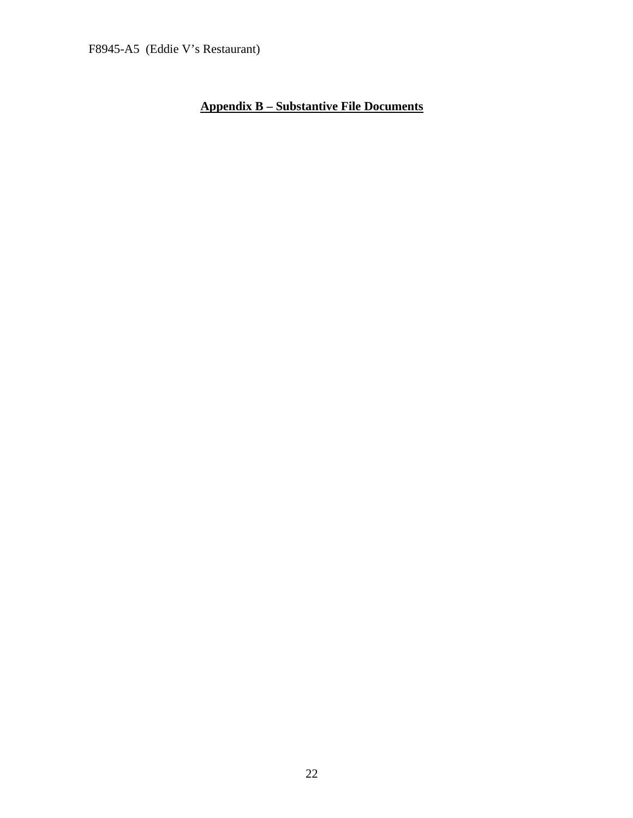## **Appendix B – Substantive File Documents**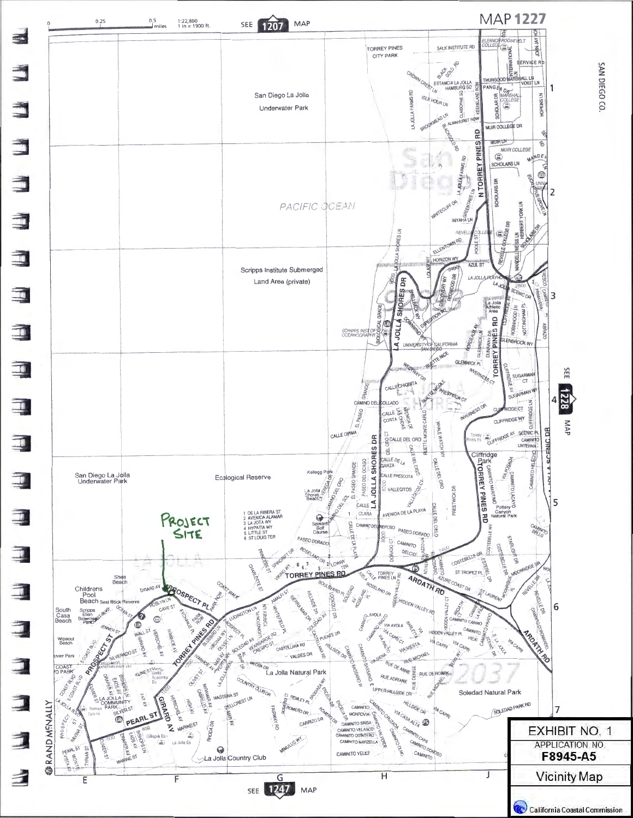